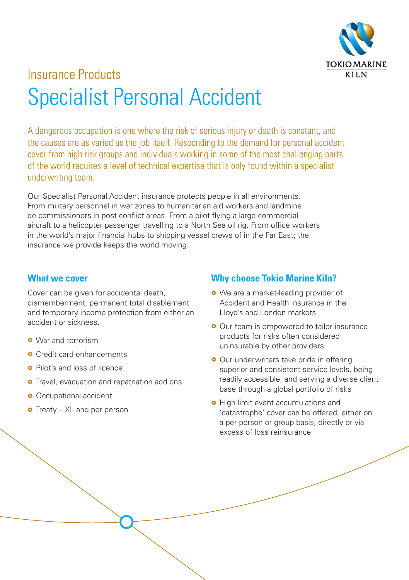

# Insurance Products Specialist Personal Accident

A dangerous occupation is one where the risk of serious injury or death is constant, and the causes are as varied as the job itself. Responding to the demand for personal accident cover from high risk groups and individuals working in some of the most challenging parts of the world requires a level of technical expertise that is only found within a specialist underwriting team.

Our Specialist Personal Accident insurance protects people in all environments. From military personnel in war zones to humanitarian aid workers and landmine de-commissioners in post-conflict areas. From a pilot flying a large commercial aircraft to a helicopter passenger travelling to a North Sea oil rig. From office workers in the world's major financial hubs to shipping vessel crews of in the Far East; the insurance we provide keeps the world moving.

#### **What we cover**

Cover can be given for accidental death, dismemberment, permanent total disablement and temporary income protection from either an accident or sickness.

- **o** War and terrorism
- **o** Credit card enhancements
- **o** Pilot's and loss of licence
- **o** Travel, evacuation and repatriation add ons
- **•** Occupational accident
- $\bullet$  Treaty XL and per person

### **Why choose Tokio Marine Kiln?**

- We are a market-leading provider of Accident and Health insurance in the Lloyd's and London markets
- **•** Our team is empowered to tailor insurance products for risks often considered uninsurable by other providers
- **•** Our underwriters take pride in offering superior and consistent service levels, being readily accessible, and serving a diverse client base through a global portfolio of risks
- **•** High limit event accumulations and 'catastrophe' cover can be offered, either on a per person or group basis, directly or via excess of loss reinsurance